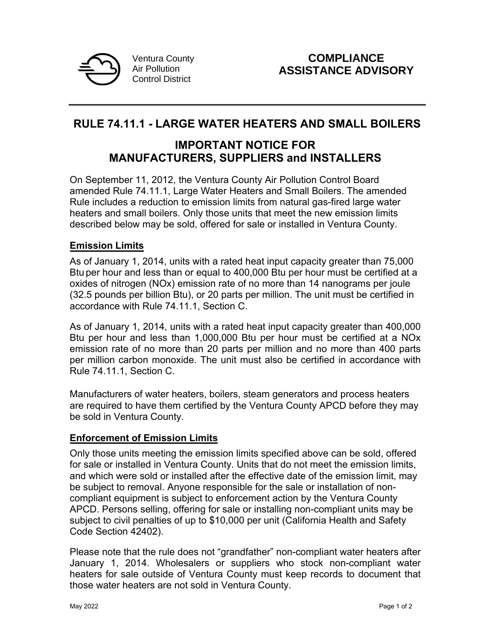

# **RULE 74.11.1 - LARGE WATER HEATERS AND SMALL BOILERS**

## **IMPORTANT NOTICE FOR MANUFACTURERS, SUPPLIERS and INSTALLERS**

On September 11, 2012, the Ventura County Air Pollution Control Board amended Rule 74.11.1, Large Water Heaters and Small Boilers. The amended Rule includes a reduction to emission limits from natural gas-fired large water heaters and small boilers. Only those units that meet the new emission limits described below may be sold, offered for sale or installed in Ventura County.

#### **Emission Limits**

As of January 1, 2014, units with a rated heat input capacity greater than 75,000 Btu per hour and less than or equal to 400,000 Btu per hour must be certified at a oxides of nitrogen (NOx) emission rate of no more than 14 nanograms per joule (32.5 pounds per billion Btu), or 20 parts per million. The unit must be certified in accordance with Rule 74.11.1, Section C.

As of January 1, 2014, units with a rated heat input capacity greater than 400,000 Btu per hour and less than 1,000,000 Btu per hour must be certified at a NOx emission rate of no more than 20 parts per million and no more than 400 parts per million carbon monoxide. The unit must also be certified in accordance with Rule 74.11.1, Section C.

Manufacturers of water heaters, boilers, steam generators and process heaters are required to have them certified by the Ventura County APCD before they may be sold in Ventura County.

## **Enforcement of Emission Limits**

Only those units meeting the emission limits specified above can be sold, offered for sale or installed in Ventura County. Units that do not meet the emission limits, and which were sold or installed after the effective date of the emission limit, may be subject to removal. Anyone responsible for the sale or installation of noncompliant equipment is subject to enforcement action by the Ventura County APCD. Persons selling, offering for sale or installing non-compliant units may be subject to civil penalties of up to \$10,000 per unit (California Health and Safety Code Section 42402).

Please note that the rule does not "grandfather" non-compliant water heaters after January 1, 2014. Wholesalers or suppliers who stock non-compliant water heaters for sale outside of Ventura County must keep records to document that those water heaters are not sold in Ventura County.